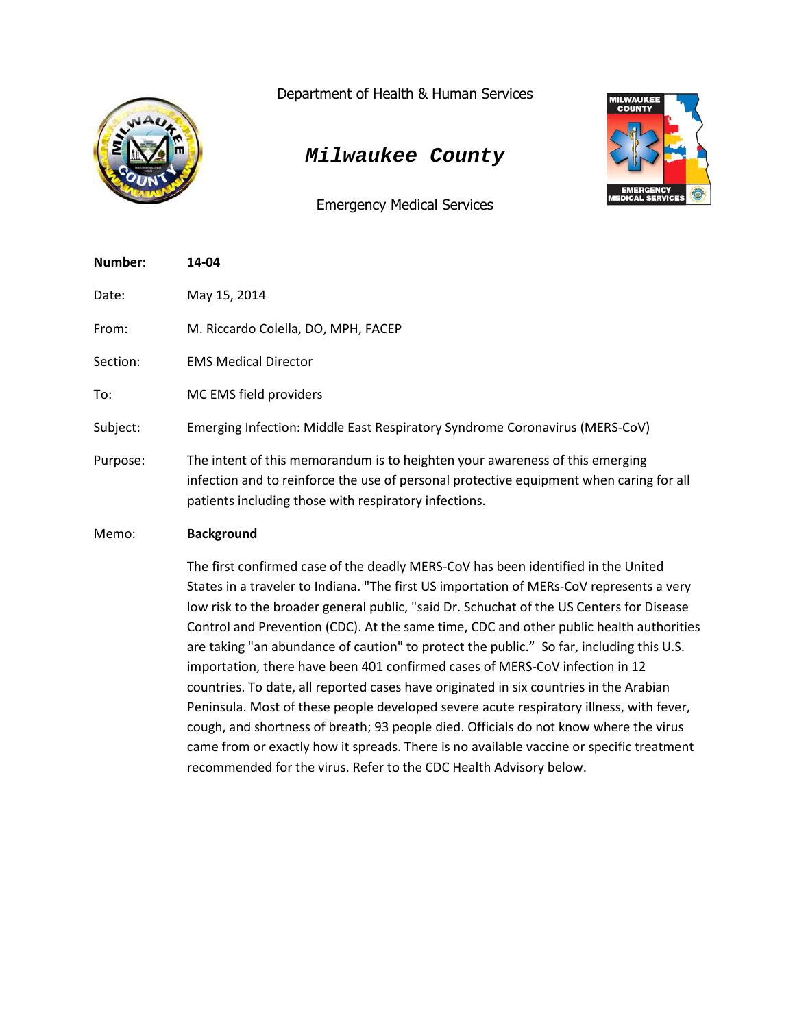

Department of Health & Human Services

# *Milwaukee County*

Emergency Medical Services



| Number:  | 14-04                                                                                                                                                                                                                            |
|----------|----------------------------------------------------------------------------------------------------------------------------------------------------------------------------------------------------------------------------------|
| Date:    | May 15, 2014                                                                                                                                                                                                                     |
| From:    | M. Riccardo Colella, DO, MPH, FACEP                                                                                                                                                                                              |
| Section: | <b>EMS Medical Director</b>                                                                                                                                                                                                      |
| To:      | MC EMS field providers                                                                                                                                                                                                           |
| Subject: | Emerging Infection: Middle East Respiratory Syndrome Coronavirus (MERS-CoV)                                                                                                                                                      |
| Purpose: | The intent of this memorandum is to heighten your awareness of this emerging<br>infection and to reinforce the use of personal protective equipment when caring for all<br>patients including those with respiratory infections. |
| Memo:    | <b>Background</b>                                                                                                                                                                                                                |

The first confirmed case of the deadly MERS-CoV has been identified in the United States in a traveler to Indiana. "The first US importation of MERs-CoV represents a very low risk to the broader general public, "said Dr. Schuchat of the US Centers for Disease Control and Prevention (CDC). At the same time, CDC and other public health authorities are taking "an abundance of caution" to protect the public." So far, including this U.S. importation, there have been 401 confirmed cases of MERS-CoV infection in 12 countries. To date, all reported cases have originated in six countries in the Arabian Peninsula. Most of these people developed severe acute respiratory illness, with fever, cough, and shortness of breath; 93 people died. Officials do not know where the virus came from or exactly how it spreads. There is no available vaccine or specific treatment recommended for the virus. Refer to the CDC Health Advisory below.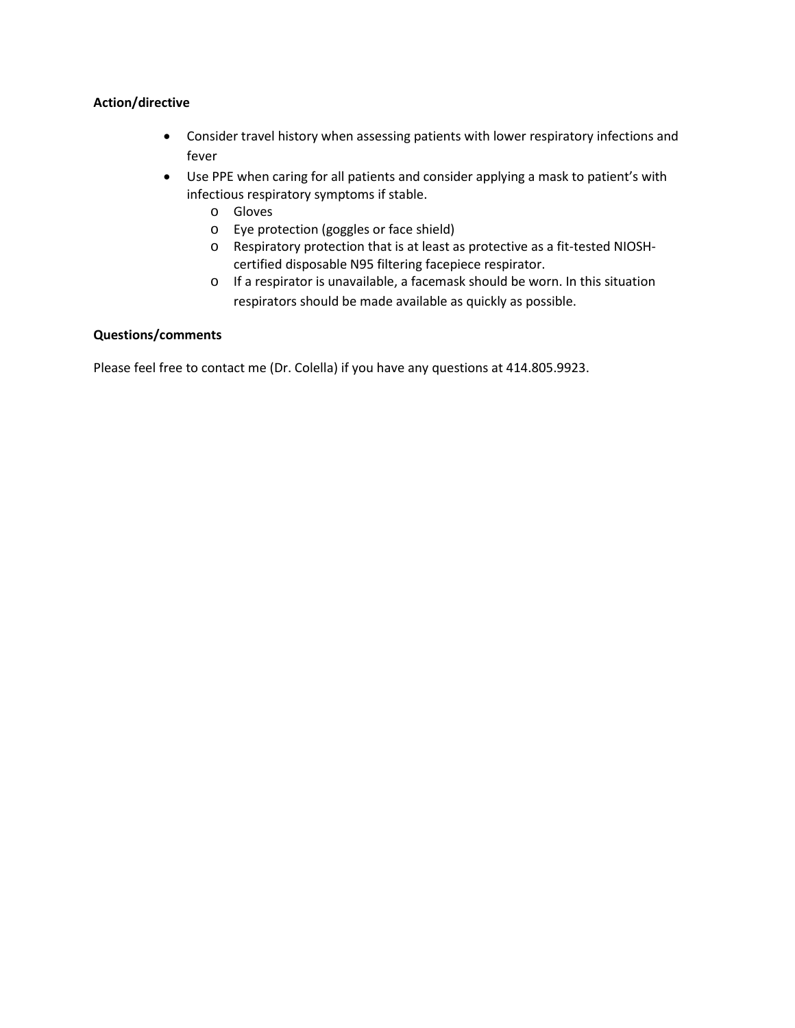### **Action/directive**

- Consider travel history when assessing patients with lower respiratory infections and fever
- Use PPE when caring for all patients and consider applying a mask to patient's with infectious respiratory symptoms if stable.
	- o Gloves
	- o Eye protection (goggles or face shield)
	- o Respiratory protection that is at least as protective as a fit-tested NIOSHcertified disposable N95 filtering facepiece respirator.
	- o If a respirator is unavailable, a facemask should be worn. In this situation respirators should be made available as quickly as possible.

### **Questions/comments**

Please feel free to contact me (Dr. Colella) if you have any questions at 414.805.9923.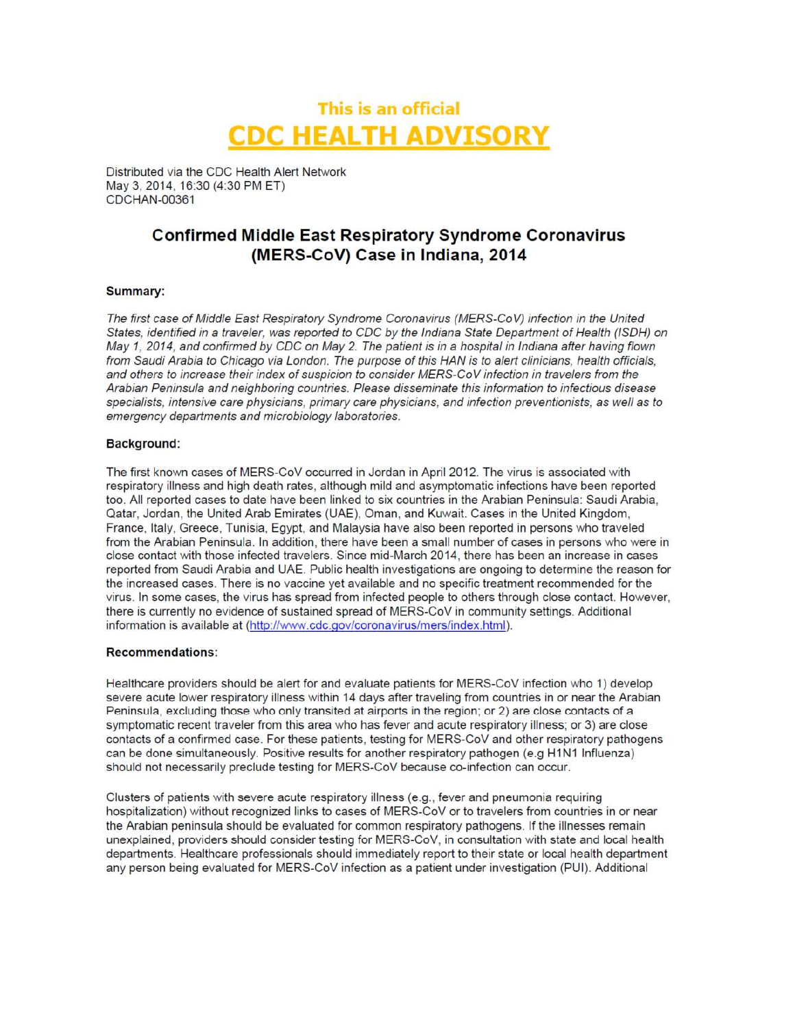# This is an official **CDC HEALTH ADVISORY**

Distributed via the CDC Health Alert Network May 3, 2014, 16:30 (4:30 PM ET) CDCHAN-00361

## **Confirmed Middle East Respiratory Syndrome Coronavirus** (MERS-CoV) Case in Indiana, 2014

### Summary:

The first case of Middle East Respiratory Syndrome Coronavirus (MERS-CoV) infection in the United States, identified in a traveler, was reported to CDC by the Indiana State Department of Health (ISDH) on May 1, 2014, and confirmed by CDC on May 2. The patient is in a hospital in Indiana after having flown from Saudi Arabia to Chicago via London. The purpose of this HAN is to alert clinicians, health officials, and others to increase their index of suspicion to consider MERS-CoV infection in travelers from the Arabian Peninsula and neighboring countries. Please disseminate this information to infectious disease specialists, intensive care physicians, primary care physicians, and infection preventionists, as well as to emergency departments and microbiology laboratories.

### **Background:**

The first known cases of MERS-CoV occurred in Jordan in April 2012. The virus is associated with respiratory illness and high death rates, although mild and asymptomatic infections have been reported too. All reported cases to date have been linked to six countries in the Arabian Peninsula: Saudi Arabia, Qatar, Jordan, the United Arab Emirates (UAE), Oman, and Kuwait. Cases in the United Kingdom, France, Italy, Greece, Tunisia, Egypt, and Malaysia have also been reported in persons who traveled from the Arabian Peninsula. In addition, there have been a small number of cases in persons who were in close contact with those infected travelers. Since mid-March 2014, there has been an increase in cases reported from Saudi Arabia and UAE. Public health investigations are ongoing to determine the reason for the increased cases. There is no vaccine yet available and no specific treatment recommended for the virus. In some cases, the virus has spread from infected people to others through close contact. However, there is currently no evidence of sustained spread of MERS-CoV in community settings. Additional information is available at (http://www.cdc.gov/coronavirus/mers/index.html).

### **Recommendations:**

Healthcare providers should be alert for and evaluate patients for MERS-CoV infection who 1) develop severe acute lower respiratory illness within 14 days after traveling from countries in or near the Arabian Peninsula, excluding those who only transited at airports in the region; or 2) are close contacts of a symptomatic recent traveler from this area who has fever and acute respiratory illness; or 3) are close contacts of a confirmed case. For these patients, testing for MERS-CoV and other respiratory pathogens can be done simultaneously. Positive results for another respiratory pathogen (e.g H1N1 Influenza) should not necessarily preclude testing for MERS-CoV because co-infection can occur.

Clusters of patients with severe acute respiratory illness (e.g., fever and pneumonia requiring hospitalization) without recognized links to cases of MERS-CoV or to travelers from countries in or near the Arabian peninsula should be evaluated for common respiratory pathogens. If the illnesses remain unexplained, providers should consider testing for MERS-CoV, in consultation with state and local health departments. Healthcare professionals should immediately report to their state or local health department any person being evaluated for MERS-CoV infection as a patient under investigation (PUI). Additional